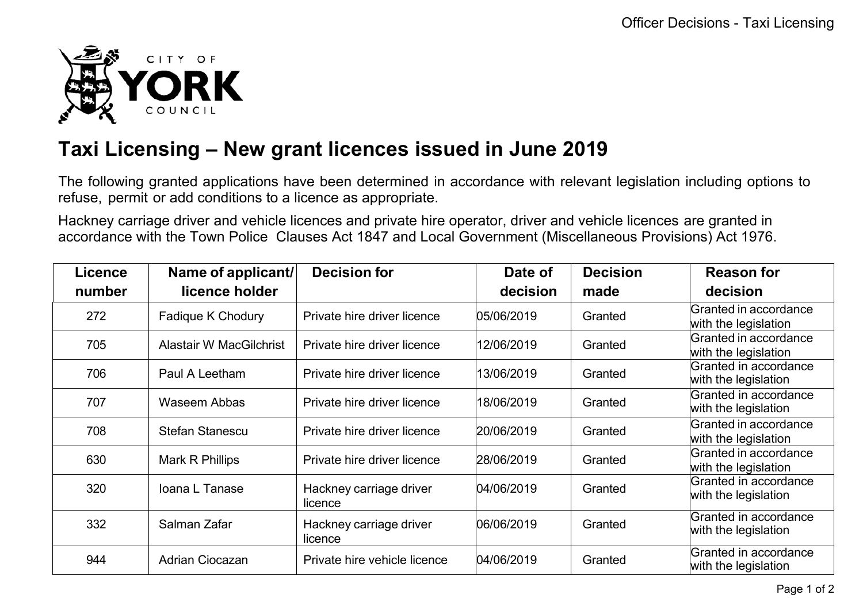

## **Taxi Licensing – New grant licences issued in June 2019**

The following granted applications have been determined in accordance with relevant legislation including options to refuse, permit or add conditions to a licence as appropriate.

Hackney carriage driver and vehicle licences and private hire operator, driver and vehicle licences are granted in accordance with the Town Police Clauses Act 1847 and Local Government (Miscellaneous Provisions) Act 1976.

| Licence | Name of applicant/             | <b>Decision for</b>                | Date of    | <b>Decision</b> | <b>Reason for</b>                             |
|---------|--------------------------------|------------------------------------|------------|-----------------|-----------------------------------------------|
| number  | licence holder                 |                                    | decision   | made            | decision                                      |
| 272     | Fadique K Chodury              | Private hire driver licence        | 05/06/2019 | Granted         | Granted in accordance<br>with the legislation |
| 705     | <b>Alastair W MacGilchrist</b> | Private hire driver licence        | 12/06/2019 | Granted         | Granted in accordance<br>with the legislation |
| 706     | Paul A Leetham                 | Private hire driver licence        | 13/06/2019 | Granted         | Granted in accordance<br>with the legislation |
| 707     | Waseem Abbas                   | Private hire driver licence        | 18/06/2019 | Granted         | Granted in accordance<br>with the legislation |
| 708     | Stefan Stanescu                | Private hire driver licence        | 20/06/2019 | Granted         | Granted in accordance<br>with the legislation |
| 630     | Mark R Phillips                | Private hire driver licence        | 28/06/2019 | Granted         | Granted in accordance<br>with the legislation |
| 320     | Ioana L Tanase                 | Hackney carriage driver<br>licence | 04/06/2019 | Granted         | Granted in accordance<br>with the legislation |
| 332     | Salman Zafar                   | Hackney carriage driver<br>licence | 06/06/2019 | Granted         | Granted in accordance<br>with the legislation |
| 944     | Adrian Ciocazan                | Private hire vehicle licence       | 04/06/2019 | Granted         | Granted in accordance<br>with the legislation |